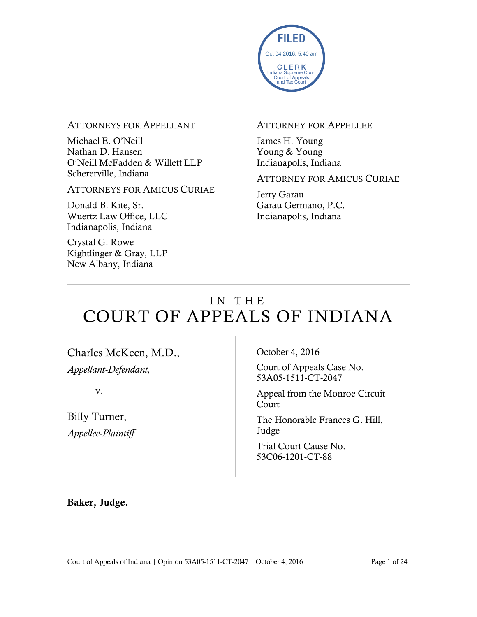

#### ATTORNEYS FOR APPELLANT

Michael E. O'Neill Nathan D. Hansen O'Neill McFadden & Willett LLP Schererville, Indiana

ATTORNEYS FOR AMICUS CURIAE

Donald B. Kite, Sr. Wuertz Law Office, LLC Indianapolis, Indiana

Crystal G. Rowe Kightlinger & Gray, LLP New Albany, Indiana

#### ATTORNEY FOR APPELLEE

James H. Young Young & Young Indianapolis, Indiana

ATTORNEY FOR AMICUS CURIAE

Jerry Garau Garau Germano, P.C. Indianapolis, Indiana

# IN THE COURT OF APPEALS OF INDIANA

Charles McKeen, M.D., *Appellant-Defendant,*

v.

Billy Turner, *Appellee-Plaintiff* October 4, 2016

Court of Appeals Case No. 53A05-1511-CT-2047

Appeal from the Monroe Circuit Court

The Honorable Frances G. Hill, Judge

Trial Court Cause No. 53C06-1201-CT-88

**Baker, Judge.**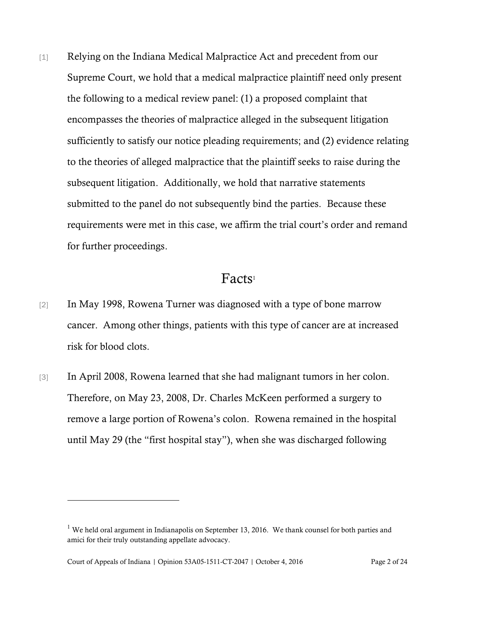[1] Relying on the Indiana Medical Malpractice Act and precedent from our Supreme Court, we hold that a medical malpractice plaintiff need only present the following to a medical review panel: (1) a proposed complaint that encompasses the theories of malpractice alleged in the subsequent litigation sufficiently to satisfy our notice pleading requirements; and (2) evidence relating to the theories of alleged malpractice that the plaintiff seeks to raise during the subsequent litigation. Additionally, we hold that narrative statements submitted to the panel do not subsequently bind the parties. Because these requirements were met in this case, we affirm the trial court's order and remand for further proceedings.

#### Facts<sup>1</sup>

- [2] In May 1998, Rowena Turner was diagnosed with a type of bone marrow cancer. Among other things, patients with this type of cancer are at increased risk for blood clots.
- [3] In April 2008, Rowena learned that she had malignant tumors in her colon. Therefore, on May 23, 2008, Dr. Charles McKeen performed a surgery to remove a large portion of Rowena's colon. Rowena remained in the hospital until May 29 (the "first hospital stay"), when she was discharged following

<sup>&</sup>lt;sup>1</sup> We held oral argument in Indianapolis on September 13, 2016. We thank counsel for both parties and amici for their truly outstanding appellate advocacy.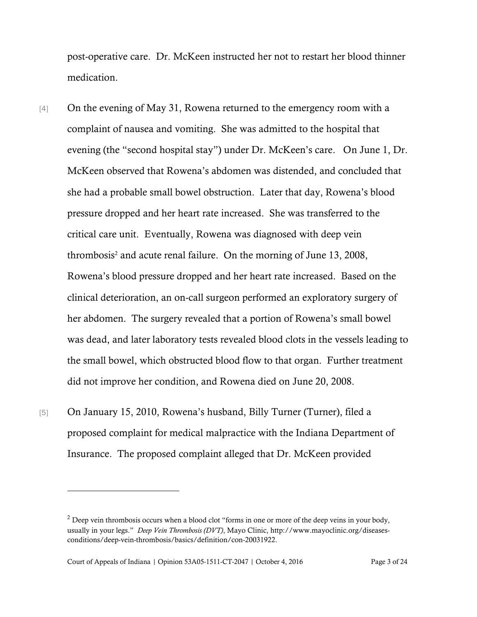post-operative care. Dr. McKeen instructed her not to restart her blood thinner medication.

- [4] On the evening of May 31, Rowena returned to the emergency room with a complaint of nausea and vomiting. She was admitted to the hospital that evening (the "second hospital stay") under Dr. McKeen's care. On June 1, Dr. McKeen observed that Rowena's abdomen was distended, and concluded that she had a probable small bowel obstruction. Later that day, Rowena's blood pressure dropped and her heart rate increased. She was transferred to the critical care unit. Eventually, Rowena was diagnosed with deep vein thrombosis<sup>2</sup> and acute renal failure. On the morning of June 13, 2008, Rowena's blood pressure dropped and her heart rate increased. Based on the clinical deterioration, an on-call surgeon performed an exploratory surgery of her abdomen. The surgery revealed that a portion of Rowena's small bowel was dead, and later laboratory tests revealed blood clots in the vessels leading to the small bowel, which obstructed blood flow to that organ. Further treatment did not improve her condition, and Rowena died on June 20, 2008.
- [5] On January 15, 2010, Rowena's husband, Billy Turner (Turner), filed a proposed complaint for medical malpractice with the Indiana Department of Insurance. The proposed complaint alleged that Dr. McKeen provided

 $<sup>2</sup>$  Deep vein thrombosis occurs when a blood clot "forms in one or more of the deep veins in your body,</sup> usually in your legs." *Deep Vein Thrombosis (DVT)*, Mayo Clinic, http://www.mayoclinic.org/diseasesconditions/deep-vein-thrombosis/basics/definition/con-20031922.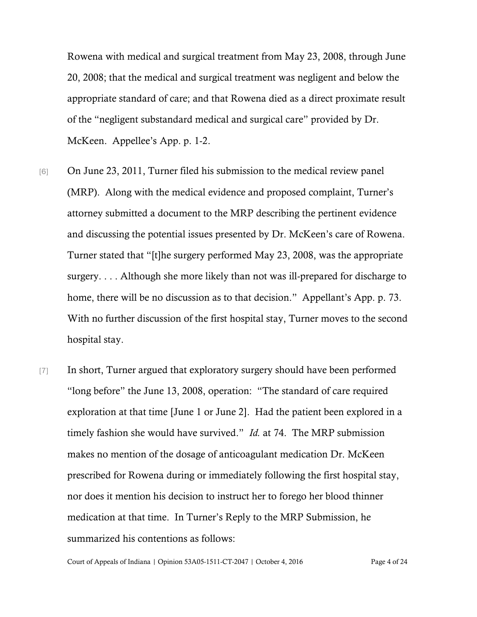Rowena with medical and surgical treatment from May 23, 2008, through June 20, 2008; that the medical and surgical treatment was negligent and below the appropriate standard of care; and that Rowena died as a direct proximate result of the "negligent substandard medical and surgical care" provided by Dr. McKeen. Appellee's App. p. 1-2.

- [6] On June 23, 2011, Turner filed his submission to the medical review panel (MRP). Along with the medical evidence and proposed complaint, Turner's attorney submitted a document to the MRP describing the pertinent evidence and discussing the potential issues presented by Dr. McKeen's care of Rowena. Turner stated that "[t]he surgery performed May 23, 2008, was the appropriate surgery. . . . Although she more likely than not was ill-prepared for discharge to home, there will be no discussion as to that decision." Appellant's App. p. 73. With no further discussion of the first hospital stay, Turner moves to the second hospital stay.
- [7] In short, Turner argued that exploratory surgery should have been performed "long before" the June 13, 2008, operation: "The standard of care required exploration at that time [June 1 or June 2]. Had the patient been explored in a timely fashion she would have survived." *Id.* at 74. The MRP submission makes no mention of the dosage of anticoagulant medication Dr. McKeen prescribed for Rowena during or immediately following the first hospital stay, nor does it mention his decision to instruct her to forego her blood thinner medication at that time. In Turner's Reply to the MRP Submission, he summarized his contentions as follows: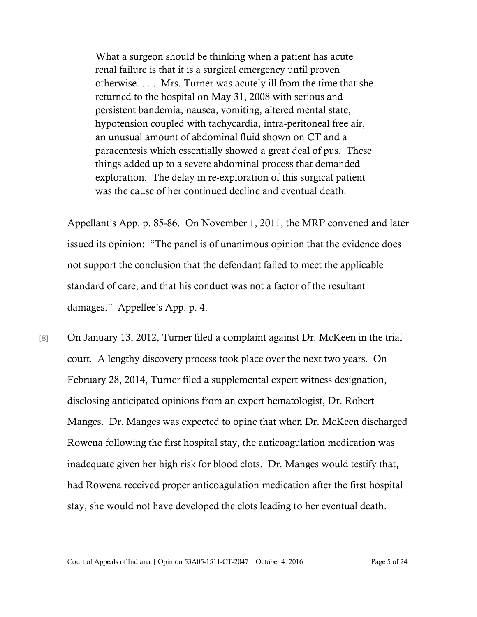What a surgeon should be thinking when a patient has acute renal failure is that it is a surgical emergency until proven otherwise. . . . Mrs. Turner was acutely ill from the time that she returned to the hospital on May 31, 2008 with serious and persistent bandemia, nausea, vomiting, altered mental state, hypotension coupled with tachycardia, intra-peritoneal free air, an unusual amount of abdominal fluid shown on CT and a paracentesis which essentially showed a great deal of pus. These things added up to a severe abdominal process that demanded exploration. The delay in re-exploration of this surgical patient was the cause of her continued decline and eventual death.

Appellant's App. p. 85-86. On November 1, 2011, the MRP convened and later issued its opinion: "The panel is of unanimous opinion that the evidence does not support the conclusion that the defendant failed to meet the applicable standard of care, and that his conduct was not a factor of the resultant damages." Appellee's App. p. 4.

[8] On January 13, 2012, Turner filed a complaint against Dr. McKeen in the trial court. A lengthy discovery process took place over the next two years. On February 28, 2014, Turner filed a supplemental expert witness designation, disclosing anticipated opinions from an expert hematologist, Dr. Robert Manges. Dr. Manges was expected to opine that when Dr. McKeen discharged Rowena following the first hospital stay, the anticoagulation medication was inadequate given her high risk for blood clots. Dr. Manges would testify that, had Rowena received proper anticoagulation medication after the first hospital stay, she would not have developed the clots leading to her eventual death.

Court of Appeals of Indiana | Opinion 53A05-1511-CT-2047 | October 4, 2016 Page 5 of 24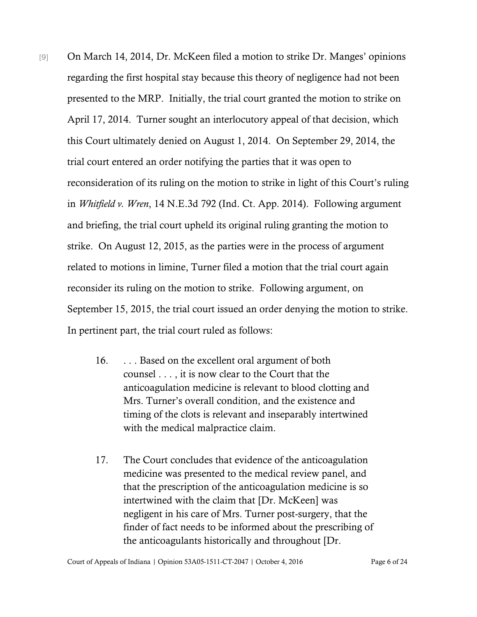- [9] On March 14, 2014, Dr. McKeen filed a motion to strike Dr. Manges' opinions regarding the first hospital stay because this theory of negligence had not been presented to the MRP. Initially, the trial court granted the motion to strike on April 17, 2014. Turner sought an interlocutory appeal of that decision, which this Court ultimately denied on August 1, 2014. On September 29, 2014, the trial court entered an order notifying the parties that it was open to reconsideration of its ruling on the motion to strike in light of this Court's ruling in *Whitfield v. Wren*, 14 N.E.3d 792 (Ind. Ct. App. 2014). Following argument and briefing, the trial court upheld its original ruling granting the motion to strike. On August 12, 2015, as the parties were in the process of argument related to motions in limine, Turner filed a motion that the trial court again reconsider its ruling on the motion to strike. Following argument, on September 15, 2015, the trial court issued an order denying the motion to strike. In pertinent part, the trial court ruled as follows:
	- 16. . . . Based on the excellent oral argument of both counsel . . . , it is now clear to the Court that the anticoagulation medicine is relevant to blood clotting and Mrs. Turner's overall condition, and the existence and timing of the clots is relevant and inseparably intertwined with the medical malpractice claim.
	- 17. The Court concludes that evidence of the anticoagulation medicine was presented to the medical review panel, and that the prescription of the anticoagulation medicine is so intertwined with the claim that [Dr. McKeen] was negligent in his care of Mrs. Turner post-surgery, that the finder of fact needs to be informed about the prescribing of the anticoagulants historically and throughout [Dr.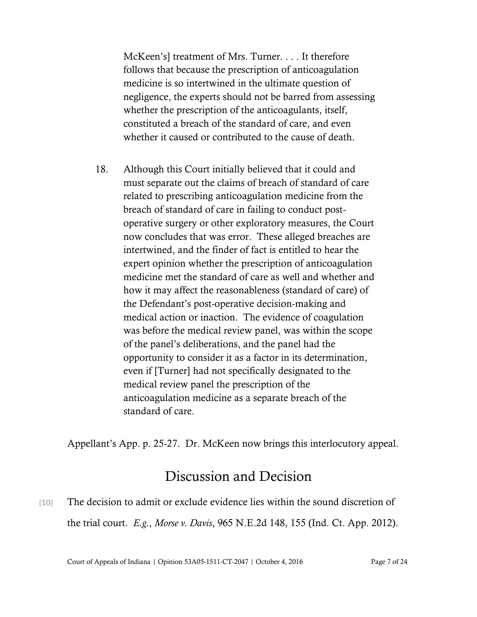McKeen's] treatment of Mrs. Turner. . . . It therefore follows that because the prescription of anticoagulation medicine is so intertwined in the ultimate question of negligence, the experts should not be barred from assessing whether the prescription of the anticoagulants, itself, constituted a breach of the standard of care, and even whether it caused or contributed to the cause of death.

18. Although this Court initially believed that it could and must separate out the claims of breach of standard of care related to prescribing anticoagulation medicine from the breach of standard of care in failing to conduct postoperative surgery or other exploratory measures, the Court now concludes that was error. These alleged breaches are intertwined, and the finder of fact is entitled to hear the expert opinion whether the prescription of anticoagulation medicine met the standard of care as well and whether and how it may affect the reasonableness (standard of care) of the Defendant's post-operative decision-making and medical action or inaction. The evidence of coagulation was before the medical review panel, was within the scope of the panel's deliberations, and the panel had the opportunity to consider it as a factor in its determination, even if [Turner] had not specifically designated to the medical review panel the prescription of the anticoagulation medicine as a separate breach of the standard of care.

Appellant's App. p. 25-27. Dr. McKeen now brings this interlocutory appeal.

# Discussion and Decision

[10] The decision to admit or exclude evidence lies within the sound discretion of the trial court. *E.g.*, *Morse v. Davis*, 965 N.E.2d 148, 155 (Ind. Ct. App. 2012).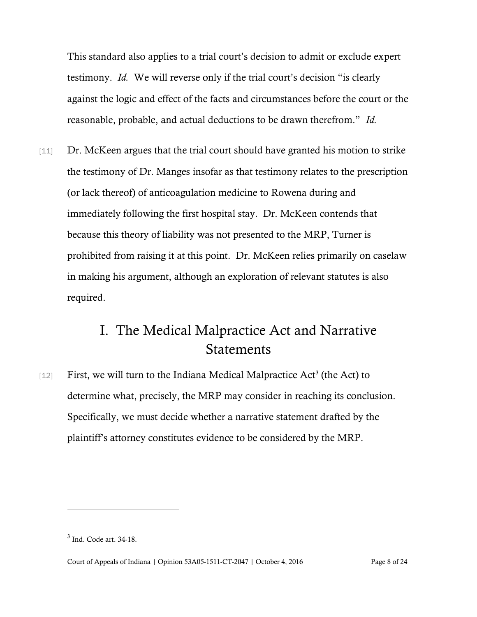This standard also applies to a trial court's decision to admit or exclude expert testimony. *Id.* We will reverse only if the trial court's decision "is clearly against the logic and effect of the facts and circumstances before the court or the reasonable, probable, and actual deductions to be drawn therefrom." *Id.*

[11] Dr. McKeen argues that the trial court should have granted his motion to strike the testimony of Dr. Manges insofar as that testimony relates to the prescription (or lack thereof) of anticoagulation medicine to Rowena during and immediately following the first hospital stay. Dr. McKeen contends that because this theory of liability was not presented to the MRP, Turner is prohibited from raising it at this point. Dr. McKeen relies primarily on caselaw in making his argument, although an exploration of relevant statutes is also required.

## I. The Medical Malpractice Act and Narrative **Statements**

 $[12]$  First, we will turn to the Indiana Medical Malpractice Act<sup>3</sup> (the Act) to determine what, precisely, the MRP may consider in reaching its conclusion. Specifically, we must decide whether a narrative statement drafted by the plaintiff's attorney constitutes evidence to be considered by the MRP.

<sup>3</sup> Ind. Code art. 34-18.

Court of Appeals of Indiana | Opinion 53A05-1511-CT-2047 | October 4, 2016 Page 8 of 24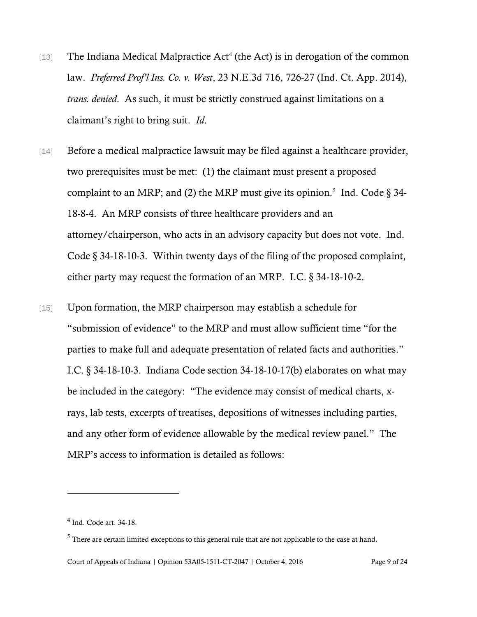- [13] The Indiana Medical Malpractice Act<sup>4</sup> (the Act) is in derogation of the common law. *Preferred Prof'l Ins. Co. v. West*, 23 N.E.3d 716, 726-27 (Ind. Ct. App. 2014), *trans. denied*. As such, it must be strictly construed against limitations on a claimant's right to bring suit. *Id*.
- [14] Before a medical malpractice lawsuit may be filed against a healthcare provider, two prerequisites must be met: (1) the claimant must present a proposed complaint to an MRP; and (2) the MRP must give its opinion.<sup>5</sup> Ind. Code  $\S 34$ -18-8-4. An MRP consists of three healthcare providers and an attorney/chairperson, who acts in an advisory capacity but does not vote. Ind. Code § 34-18-10-3. Within twenty days of the filing of the proposed complaint, either party may request the formation of an MRP. I.C. § 34-18-10-2.
- [15] Upon formation, the MRP chairperson may establish a schedule for "submission of evidence" to the MRP and must allow sufficient time "for the parties to make full and adequate presentation of related facts and authorities." I.C. § 34-18-10-3. Indiana Code section 34-18-10-17(b) elaborates on what may be included in the category: "The evidence may consist of medical charts, xrays, lab tests, excerpts of treatises, depositions of witnesses including parties, and any other form of evidence allowable by the medical review panel." The MRP's access to information is detailed as follows:

l

Court of Appeals of Indiana | Opinion 53A05-1511-CT-2047 | October 4, 2016 Page 9 of 24

<sup>4</sup> Ind. Code art. 34-18.

<sup>&</sup>lt;sup>5</sup> There are certain limited exceptions to this general rule that are not applicable to the case at hand.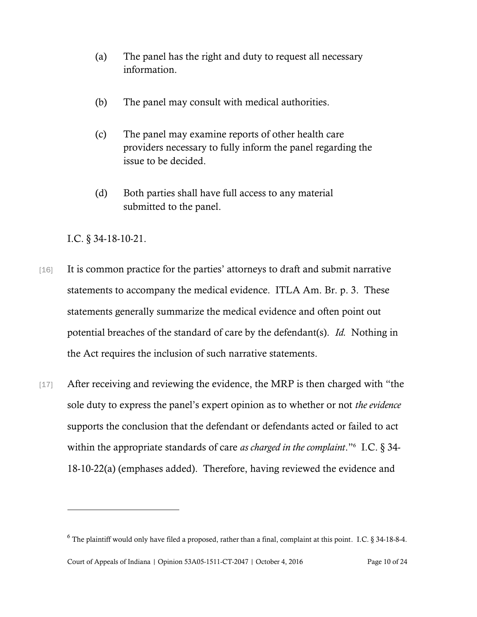- (a) The panel has the right and duty to request all necessary information.
- (b) The panel may consult with medical authorities.
- (c) The panel may examine reports of other health care providers necessary to fully inform the panel regarding the issue to be decided.
- (d) Both parties shall have full access to any material submitted to the panel.

I.C. § 34-18-10-21.

- [16] It is common practice for the parties' attorneys to draft and submit narrative statements to accompany the medical evidence. ITLA Am. Br. p. 3. These statements generally summarize the medical evidence and often point out potential breaches of the standard of care by the defendant(s). *Id.* Nothing in the Act requires the inclusion of such narrative statements.
- [17] After receiving and reviewing the evidence, the MRP is then charged with "the sole duty to express the panel's expert opinion as to whether or not *the evidence* supports the conclusion that the defendant or defendants acted or failed to act within the appropriate standards of care *as charged in the complaint*."<sup>6</sup> I.C. § 34- 18-10-22(a) (emphases added). Therefore, having reviewed the evidence and

Court of Appeals of Indiana | Opinion 53A05-1511-CT-2047 | October 4, 2016 Page 10 of 24  $6$  The plaintiff would only have filed a proposed, rather than a final, complaint at this point. I.C. § 34-18-8-4.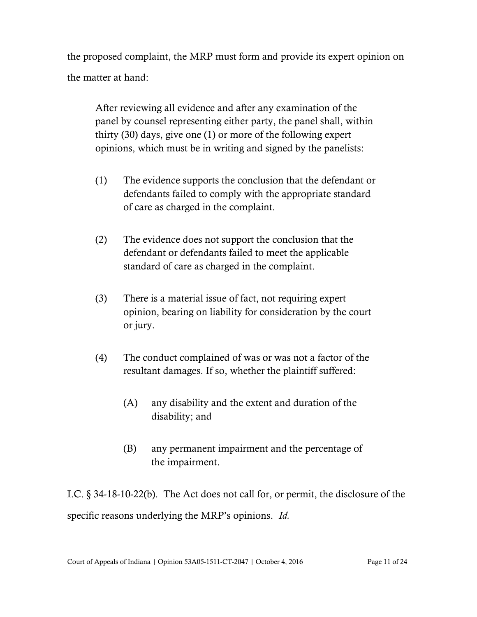the proposed complaint, the MRP must form and provide its expert opinion on the matter at hand:

After reviewing all evidence and after any examination of the panel by counsel representing either party, the panel shall, within thirty (30) days, give one (1) or more of the following expert opinions, which must be in writing and signed by the panelists:

- (1) The evidence supports the conclusion that the defendant or defendants failed to comply with the appropriate standard of care as charged in the complaint.
- (2) The evidence does not support the conclusion that the defendant or defendants failed to meet the applicable standard of care as charged in the complaint.
- (3) There is a material issue of fact, not requiring expert opinion, bearing on liability for consideration by the court or jury.
- (4) The conduct complained of was or was not a factor of the resultant damages. If so, whether the plaintiff suffered:
	- (A) any disability and the extent and duration of the disability; and
	- (B) any permanent impairment and the percentage of the impairment.

I.C. § 34-18-10-22(b). The Act does not call for, or permit, the disclosure of the specific reasons underlying the MRP's opinions. *Id.*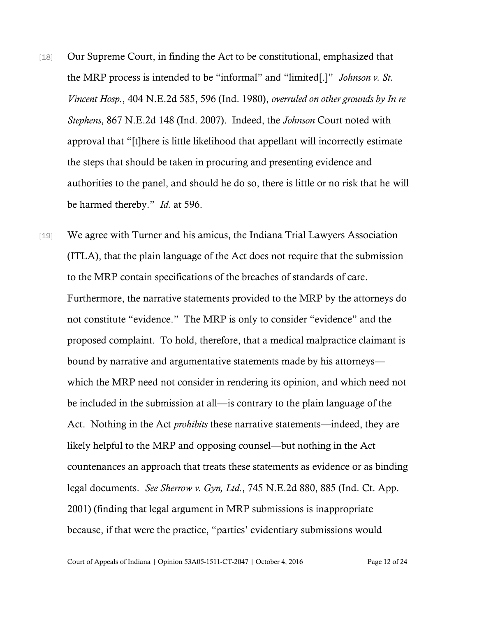- [18] Our Supreme Court, in finding the Act to be constitutional, emphasized that the MRP process is intended to be "informal" and "limited[.]" *Johnson v. St. Vincent Hosp.*, 404 N.E.2d 585, 596 (Ind. 1980), *overruled on other grounds by In re Stephens*, 867 N.E.2d 148 (Ind. 2007). Indeed, the *Johnson* Court noted with approval that "[t]here is little likelihood that appellant will incorrectly estimate the steps that should be taken in procuring and presenting evidence and authorities to the panel, and should he do so, there is little or no risk that he will be harmed thereby." *Id.* at 596.
- [19] We agree with Turner and his amicus, the Indiana Trial Lawyers Association (ITLA), that the plain language of the Act does not require that the submission to the MRP contain specifications of the breaches of standards of care. Furthermore, the narrative statements provided to the MRP by the attorneys do not constitute "evidence." The MRP is only to consider "evidence" and the proposed complaint. To hold, therefore, that a medical malpractice claimant is bound by narrative and argumentative statements made by his attorneys which the MRP need not consider in rendering its opinion, and which need not be included in the submission at all—is contrary to the plain language of the Act. Nothing in the Act *prohibits* these narrative statements—indeed, they are likely helpful to the MRP and opposing counsel—but nothing in the Act countenances an approach that treats these statements as evidence or as binding legal documents. *See Sherrow v. Gyn, Ltd.*, 745 N.E.2d 880, 885 (Ind. Ct. App. 2001) (finding that legal argument in MRP submissions is inappropriate because, if that were the practice, "parties' evidentiary submissions would

Court of Appeals of Indiana | Opinion 53A05-1511-CT-2047 | October 4, 2016 Page 12 of 24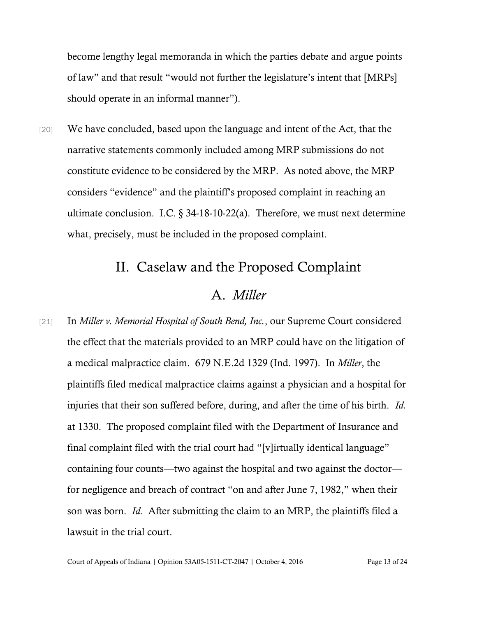become lengthy legal memoranda in which the parties debate and argue points of law" and that result "would not further the legislature's intent that [MRPs] should operate in an informal manner").

[20] We have concluded, based upon the language and intent of the Act, that the narrative statements commonly included among MRP submissions do not constitute evidence to be considered by the MRP. As noted above, the MRP considers "evidence" and the plaintiff's proposed complaint in reaching an ultimate conclusion. I.C. § 34-18-10-22(a). Therefore, we must next determine what, precisely, must be included in the proposed complaint.

#### II. Caselaw and the Proposed Complaint

### A. *Miller*

[21] In *Miller v. Memorial Hospital of South Bend, Inc.*, our Supreme Court considered the effect that the materials provided to an MRP could have on the litigation of a medical malpractice claim. 679 N.E.2d 1329 (Ind. 1997). In *Miller*, the plaintiffs filed medical malpractice claims against a physician and a hospital for injuries that their son suffered before, during, and after the time of his birth. *Id.* at 1330. The proposed complaint filed with the Department of Insurance and final complaint filed with the trial court had "[v]irtually identical language" containing four counts—two against the hospital and two against the doctor for negligence and breach of contract "on and after June 7, 1982," when their son was born. *Id.* After submitting the claim to an MRP, the plaintiffs filed a lawsuit in the trial court.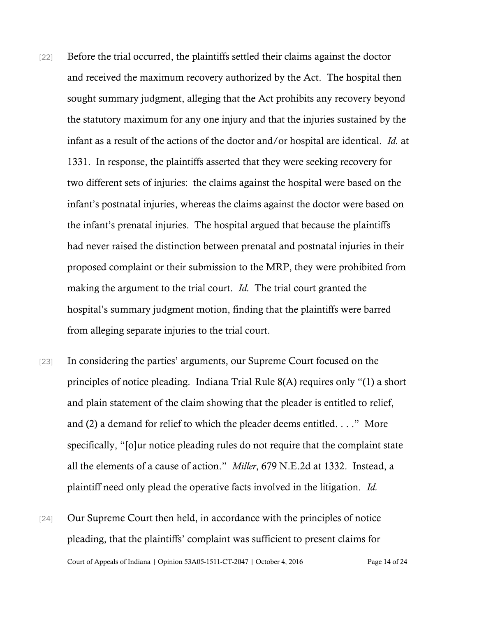- [22] Before the trial occurred, the plaintiffs settled their claims against the doctor and received the maximum recovery authorized by the Act. The hospital then sought summary judgment, alleging that the Act prohibits any recovery beyond the statutory maximum for any one injury and that the injuries sustained by the infant as a result of the actions of the doctor and/or hospital are identical. *Id.* at 1331. In response, the plaintiffs asserted that they were seeking recovery for two different sets of injuries: the claims against the hospital were based on the infant's postnatal injuries, whereas the claims against the doctor were based on the infant's prenatal injuries. The hospital argued that because the plaintiffs had never raised the distinction between prenatal and postnatal injuries in their proposed complaint or their submission to the MRP, they were prohibited from making the argument to the trial court. *Id.* The trial court granted the hospital's summary judgment motion, finding that the plaintiffs were barred from alleging separate injuries to the trial court.
- [23] In considering the parties' arguments, our Supreme Court focused on the principles of notice pleading. Indiana Trial Rule 8(A) requires only "(1) a short and plain statement of the claim showing that the pleader is entitled to relief, and (2) a demand for relief to which the pleader deems entitled. . . ." More specifically, "[o]ur notice pleading rules do not require that the complaint state all the elements of a cause of action." *Miller*, 679 N.E.2d at 1332. Instead, a plaintiff need only plead the operative facts involved in the litigation. *Id.*
- Court of Appeals of Indiana | Opinion 53A05-1511-CT-2047 | October 4, 2016 Page 14 of 24 [24] Our Supreme Court then held, in accordance with the principles of notice pleading, that the plaintiffs' complaint was sufficient to present claims for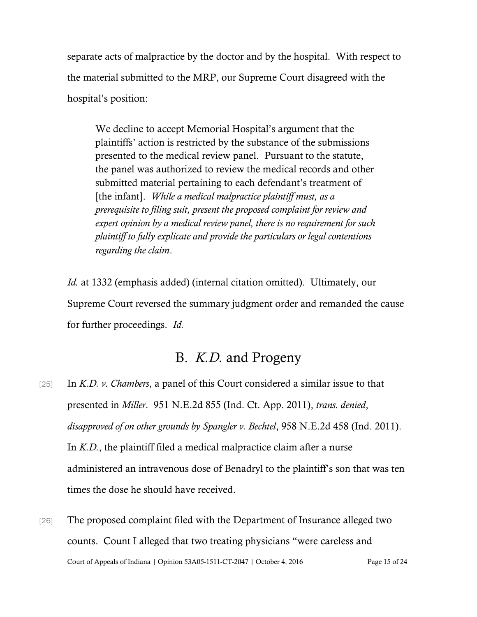separate acts of malpractice by the doctor and by the hospital. With respect to the material submitted to the MRP, our Supreme Court disagreed with the hospital's position:

We decline to accept Memorial Hospital's argument that the plaintiffs' action is restricted by the substance of the submissions presented to the medical review panel. Pursuant to the statute, the panel was authorized to review the medical records and other submitted material pertaining to each defendant's treatment of [the infant]. *While a medical malpractice plaintiff must, as a prerequisite to filing suit, present the proposed complaint for review and expert opinion by a medical review panel, there is no requirement for such plaintiff to fully explicate and provide the particulars or legal contentions regarding the claim*.

*Id.* at 1332 (emphasis added) (internal citation omitted). Ultimately, our Supreme Court reversed the summary judgment order and remanded the cause for further proceedings. *Id.*

### B. *K.D.* and Progeny

- [25] In *K.D. v. Chambers*, a panel of this Court considered a similar issue to that presented in *Miller*. 951 N.E.2d 855 (Ind. Ct. App. 2011), *trans. denied*, *disapproved of on other grounds by Spangler v. Bechtel*, 958 N.E.2d 458 (Ind. 2011). In *K.D.*, the plaintiff filed a medical malpractice claim after a nurse administered an intravenous dose of Benadryl to the plaintiff's son that was ten times the dose he should have received.
- Court of Appeals of Indiana | Opinion 53A05-1511-CT-2047 | October 4, 2016 Page 15 of 24 [26] The proposed complaint filed with the Department of Insurance alleged two counts. Count I alleged that two treating physicians "were careless and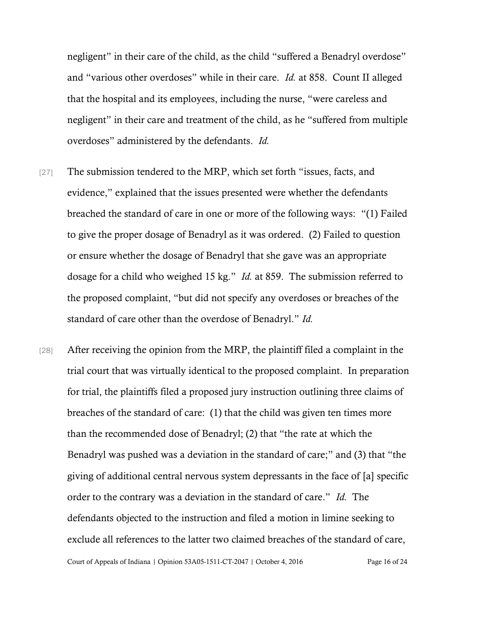negligent" in their care of the child, as the child "suffered a Benadryl overdose" and "various other overdoses" while in their care. *Id.* at 858. Count II alleged that the hospital and its employees, including the nurse, "were careless and negligent" in their care and treatment of the child, as he "suffered from multiple overdoses" administered by the defendants. *Id.*

- [27] The submission tendered to the MRP, which set forth "issues, facts, and evidence," explained that the issues presented were whether the defendants breached the standard of care in one or more of the following ways: "(1) Failed to give the proper dosage of Benadryl as it was ordered. (2) Failed to question or ensure whether the dosage of Benadryl that she gave was an appropriate dosage for a child who weighed 15 kg." *Id.* at 859. The submission referred to the proposed complaint, "but did not specify any overdoses or breaches of the standard of care other than the overdose of Benadryl." *Id.*
- Court of Appeals of Indiana | Opinion 53A05-1511-CT-2047 | October 4, 2016 Page 16 of 24 [28] After receiving the opinion from the MRP, the plaintiff filed a complaint in the trial court that was virtually identical to the proposed complaint. In preparation for trial, the plaintiffs filed a proposed jury instruction outlining three claims of breaches of the standard of care: (1) that the child was given ten times more than the recommended dose of Benadryl; (2) that "the rate at which the Benadryl was pushed was a deviation in the standard of care;" and (3) that "the giving of additional central nervous system depressants in the face of [a] specific order to the contrary was a deviation in the standard of care." *Id.* The defendants objected to the instruction and filed a motion in limine seeking to exclude all references to the latter two claimed breaches of the standard of care,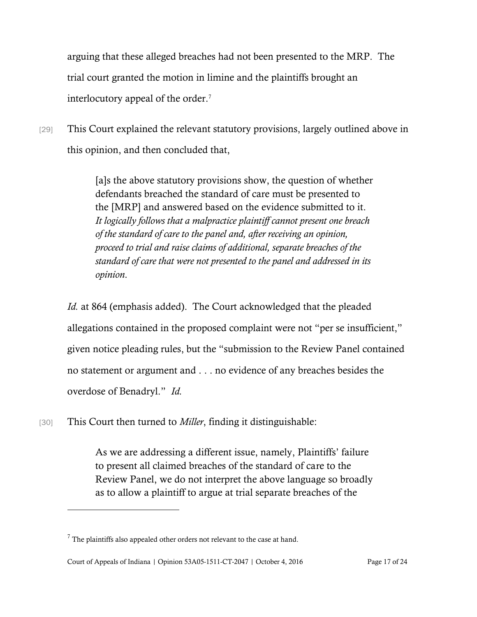arguing that these alleged breaches had not been presented to the MRP. The trial court granted the motion in limine and the plaintiffs brought an interlocutory appeal of the order.<sup>7</sup>

[29] This Court explained the relevant statutory provisions, largely outlined above in this opinion, and then concluded that,

> [a]s the above statutory provisions show, the question of whether defendants breached the standard of care must be presented to the [MRP] and answered based on the evidence submitted to it. *It logically follows that a malpractice plaintiff cannot present one breach of the standard of care to the panel and, after receiving an opinion, proceed to trial and raise claims of additional, separate breaches of the standard of care that were not presented to the panel and addressed in its opinion*.

*Id.* at 864 (emphasis added). The Court acknowledged that the pleaded allegations contained in the proposed complaint were not "per se insufficient," given notice pleading rules, but the "submission to the Review Panel contained no statement or argument and . . . no evidence of any breaches besides the overdose of Benadryl." *Id.*

[30] This Court then turned to *Miller*, finding it distinguishable:

As we are addressing a different issue, namely, Plaintiffs' failure to present all claimed breaches of the standard of care to the Review Panel, we do not interpret the above language so broadly as to allow a plaintiff to argue at trial separate breaches of the

 $<sup>7</sup>$  The plaintiffs also appealed other orders not relevant to the case at hand.</sup>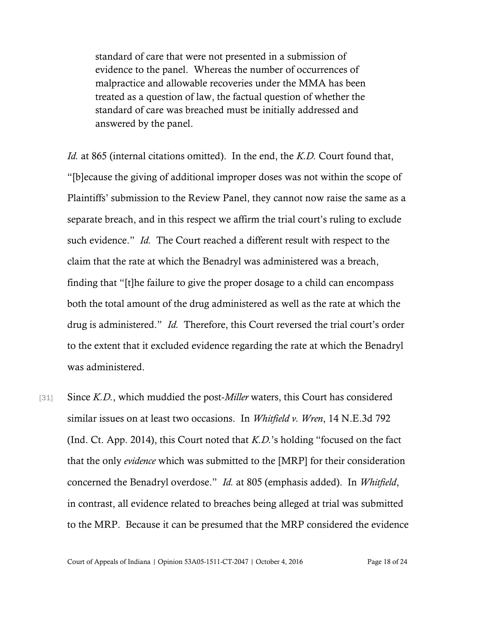standard of care that were not presented in a submission of evidence to the panel. Whereas the number of occurrences of malpractice and allowable recoveries under the MMA has been treated as a question of law, the factual question of whether the standard of care was breached must be initially addressed and answered by the panel.

*Id.* at 865 (internal citations omitted). In the end, the *K.D.* Court found that, "[b]ecause the giving of additional improper doses was not within the scope of Plaintiffs' submission to the Review Panel, they cannot now raise the same as a separate breach, and in this respect we affirm the trial court's ruling to exclude such evidence." *Id.* The Court reached a different result with respect to the claim that the rate at which the Benadryl was administered was a breach, finding that "[t]he failure to give the proper dosage to a child can encompass both the total amount of the drug administered as well as the rate at which the drug is administered." *Id.* Therefore, this Court reversed the trial court's order to the extent that it excluded evidence regarding the rate at which the Benadryl was administered.

[31] Since *K.D.*, which muddied the post-*Miller* waters, this Court has considered similar issues on at least two occasions. In *Whitfield v. Wren*, 14 N.E.3d 792 (Ind. Ct. App. 2014), this Court noted that *K.D.*'s holding "focused on the fact that the only *evidence* which was submitted to the [MRP] for their consideration concerned the Benadryl overdose." *Id.* at 805 (emphasis added). In *Whitfield*, in contrast, all evidence related to breaches being alleged at trial was submitted to the MRP. Because it can be presumed that the MRP considered the evidence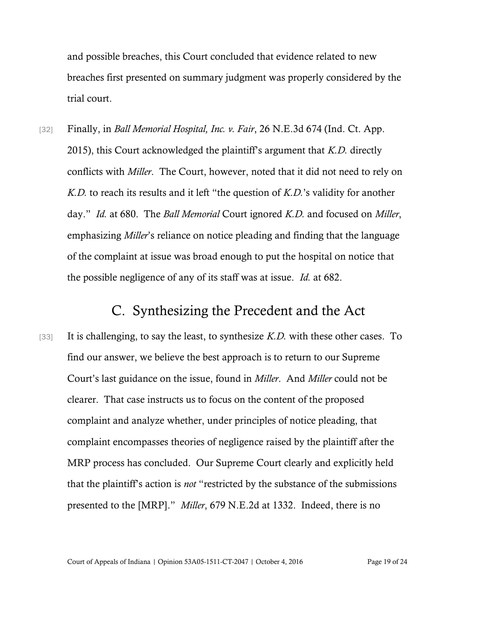and possible breaches, this Court concluded that evidence related to new breaches first presented on summary judgment was properly considered by the trial court.

[32] Finally, in *Ball Memorial Hospital, Inc. v. Fair*, 26 N.E.3d 674 (Ind. Ct. App. 2015), this Court acknowledged the plaintiff's argument that *K.D.* directly conflicts with *Miller*. The Court, however, noted that it did not need to rely on *K.D.* to reach its results and it left "the question of *K.D.*'s validity for another day." *Id.* at 680. The *Ball Memorial* Court ignored *K.D.* and focused on *Miller*, emphasizing *Miller*'s reliance on notice pleading and finding that the language of the complaint at issue was broad enough to put the hospital on notice that the possible negligence of any of its staff was at issue. *Id.* at 682.

### C. Synthesizing the Precedent and the Act

[33] It is challenging, to say the least, to synthesize *K.D.* with these other cases. To find our answer, we believe the best approach is to return to our Supreme Court's last guidance on the issue, found in *Miller*. And *Miller* could not be clearer. That case instructs us to focus on the content of the proposed complaint and analyze whether, under principles of notice pleading, that complaint encompasses theories of negligence raised by the plaintiff after the MRP process has concluded. Our Supreme Court clearly and explicitly held that the plaintiff's action is *not* "restricted by the substance of the submissions presented to the [MRP]." *Miller*, 679 N.E.2d at 1332. Indeed, there is no

Court of Appeals of Indiana | Opinion 53A05-1511-CT-2047 | October 4, 2016 Page 19 of 24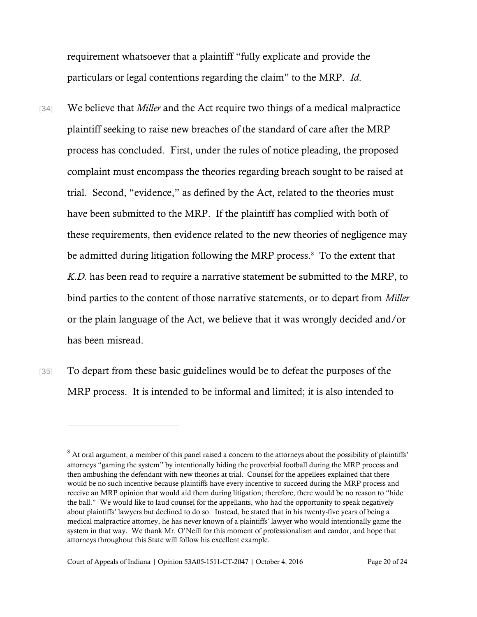requirement whatsoever that a plaintiff "fully explicate and provide the particulars or legal contentions regarding the claim" to the MRP. *Id*.

- [34] We believe that *Miller* and the Act require two things of a medical malpractice plaintiff seeking to raise new breaches of the standard of care after the MRP process has concluded. First, under the rules of notice pleading, the proposed complaint must encompass the theories regarding breach sought to be raised at trial. Second, "evidence," as defined by the Act, related to the theories must have been submitted to the MRP. If the plaintiff has complied with both of these requirements, then evidence related to the new theories of negligence may be admitted during litigation following the MRP process.<sup>8</sup> To the extent that *K.D.* has been read to require a narrative statement be submitted to the MRP, to bind parties to the content of those narrative statements, or to depart from *Miller* or the plain language of the Act, we believe that it was wrongly decided and/or has been misread.
- [35] To depart from these basic guidelines would be to defeat the purposes of the MRP process. It is intended to be informal and limited; it is also intended to

 $8$  At oral argument, a member of this panel raised a concern to the attorneys about the possibility of plaintiffs' attorneys "gaming the system" by intentionally hiding the proverbial football during the MRP process and then ambushing the defendant with new theories at trial. Counsel for the appellees explained that there would be no such incentive because plaintiffs have every incentive to succeed during the MRP process and receive an MRP opinion that would aid them during litigation; therefore, there would be no reason to "hide the ball." We would like to laud counsel for the appellants, who had the opportunity to speak negatively about plaintiffs' lawyers but declined to do so. Instead, he stated that in his twenty-five years of being a medical malpractice attorney, he has never known of a plaintiffs' lawyer who would intentionally game the system in that way. We thank Mr. O'Neill for this moment of professionalism and candor, and hope that attorneys throughout this State will follow his excellent example.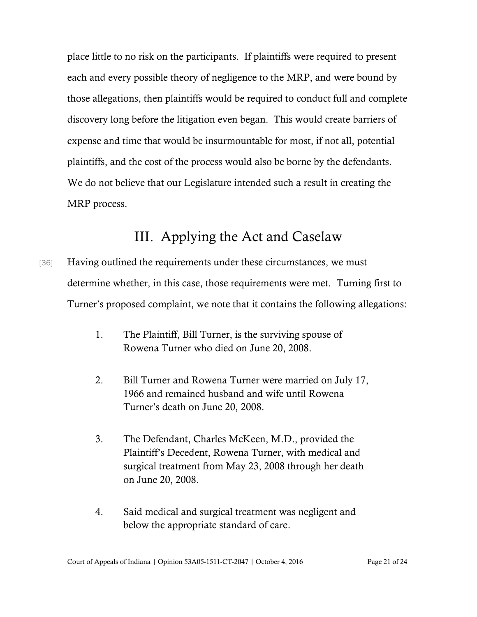place little to no risk on the participants. If plaintiffs were required to present each and every possible theory of negligence to the MRP, and were bound by those allegations, then plaintiffs would be required to conduct full and complete discovery long before the litigation even began. This would create barriers of expense and time that would be insurmountable for most, if not all, potential plaintiffs, and the cost of the process would also be borne by the defendants. We do not believe that our Legislature intended such a result in creating the MRP process.

## III. Applying the Act and Caselaw

- [36] Having outlined the requirements under these circumstances, we must determine whether, in this case, those requirements were met. Turning first to Turner's proposed complaint, we note that it contains the following allegations:
	- 1. The Plaintiff, Bill Turner, is the surviving spouse of Rowena Turner who died on June 20, 2008.
	- 2. Bill Turner and Rowena Turner were married on July 17, 1966 and remained husband and wife until Rowena Turner's death on June 20, 2008.
	- 3. The Defendant, Charles McKeen, M.D., provided the Plaintiff's Decedent, Rowena Turner, with medical and surgical treatment from May 23, 2008 through her death on June 20, 2008.
	- 4. Said medical and surgical treatment was negligent and below the appropriate standard of care.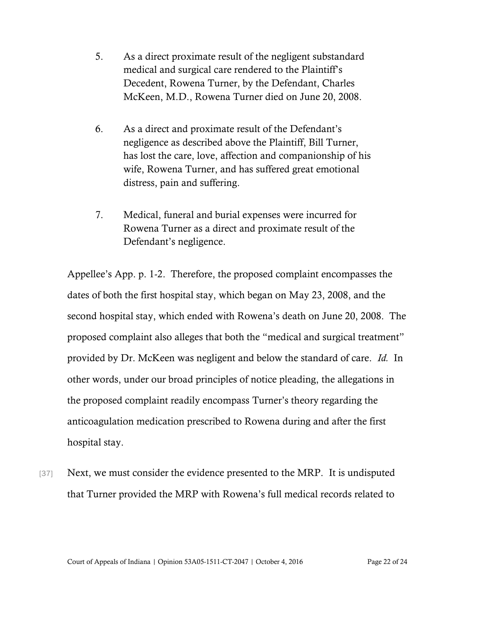- 5. As a direct proximate result of the negligent substandard medical and surgical care rendered to the Plaintiff's Decedent, Rowena Turner, by the Defendant, Charles McKeen, M.D., Rowena Turner died on June 20, 2008.
- 6. As a direct and proximate result of the Defendant's negligence as described above the Plaintiff, Bill Turner, has lost the care, love, affection and companionship of his wife, Rowena Turner, and has suffered great emotional distress, pain and suffering.
- 7. Medical, funeral and burial expenses were incurred for Rowena Turner as a direct and proximate result of the Defendant's negligence.

Appellee's App. p. 1-2. Therefore, the proposed complaint encompasses the dates of both the first hospital stay, which began on May 23, 2008, and the second hospital stay, which ended with Rowena's death on June 20, 2008. The proposed complaint also alleges that both the "medical and surgical treatment" provided by Dr. McKeen was negligent and below the standard of care. *Id.* In other words, under our broad principles of notice pleading, the allegations in the proposed complaint readily encompass Turner's theory regarding the anticoagulation medication prescribed to Rowena during and after the first hospital stay.

[37] Next, we must consider the evidence presented to the MRP. It is undisputed that Turner provided the MRP with Rowena's full medical records related to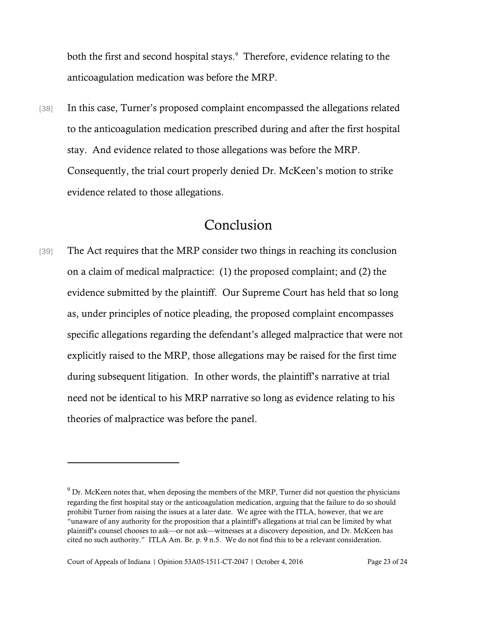both the first and second hospital stays.<sup>9</sup> Therefore, evidence relating to the anticoagulation medication was before the MRP.

[38] In this case, Turner's proposed complaint encompassed the allegations related to the anticoagulation medication prescribed during and after the first hospital stay. And evidence related to those allegations was before the MRP. Consequently, the trial court properly denied Dr. McKeen's motion to strike evidence related to those allegations.

### Conclusion

[39] The Act requires that the MRP consider two things in reaching its conclusion on a claim of medical malpractice: (1) the proposed complaint; and (2) the evidence submitted by the plaintiff. Our Supreme Court has held that so long as, under principles of notice pleading, the proposed complaint encompasses specific allegations regarding the defendant's alleged malpractice that were not explicitly raised to the MRP, those allegations may be raised for the first time during subsequent litigation. In other words, the plaintiff's narrative at trial need not be identical to his MRP narrative so long as evidence relating to his theories of malpractice was before the panel.

<sup>9</sup> Dr. McKeen notes that, when deposing the members of the MRP, Turner did not question the physicians regarding the first hospital stay or the anticoagulation medication, arguing that the failure to do so should prohibit Turner from raising the issues at a later date. We agree with the ITLA, however, that we are "unaware of any authority for the proposition that a plaintiff's allegations at trial can be limited by what plaintiff's counsel chooses to ask—or not ask—witnesses at a discovery deposition, and Dr. McKeen has cited no such authority." ITLA Am. Br. p. 9 n.5. We do not find this to be a relevant consideration.